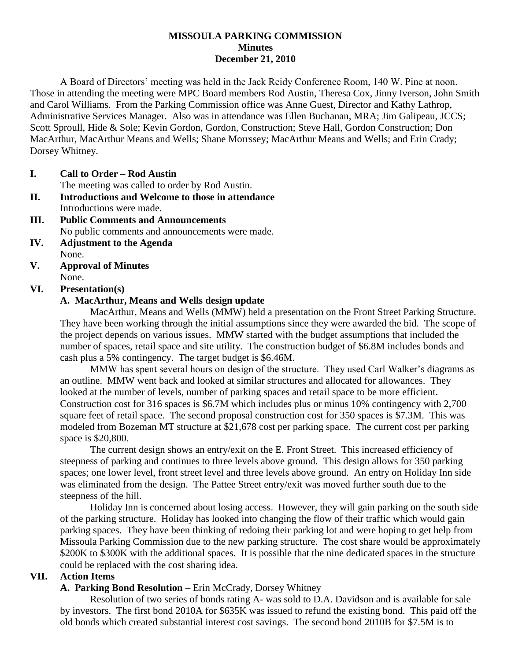### **MISSOULA PARKING COMMISSION Minutes December 21, 2010**

A Board of Directors' meeting was held in the Jack Reidy Conference Room, 140 W. Pine at noon. Those in attending the meeting were MPC Board members Rod Austin, Theresa Cox, Jinny Iverson, John Smith and Carol Williams. From the Parking Commission office was Anne Guest, Director and Kathy Lathrop, Administrative Services Manager. Also was in attendance was Ellen Buchanan, MRA; Jim Galipeau, JCCS; Scott Sproull, Hide & Sole; Kevin Gordon, Gordon, Construction; Steve Hall, Gordon Construction; Don MacArthur, MacArthur Means and Wells; Shane Morrssey; MacArthur Means and Wells; and Erin Crady; Dorsey Whitney.

#### **I. Call to Order – Rod Austin**

The meeting was called to order by Rod Austin.

- **II. Introductions and Welcome to those in attendance** Introductions were made.
- **III. Public Comments and Announcements** No public comments and announcements were made.
- **IV. Adjustment to the Agenda** None.
- **V. Approval of Minutes** None.

### **VI. Presentation(s)**

### **A. MacArthur, Means and Wells design update**

MacArthur, Means and Wells (MMW) held a presentation on the Front Street Parking Structure. They have been working through the initial assumptions since they were awarded the bid. The scope of the project depends on various issues. MMW started with the budget assumptions that included the number of spaces, retail space and site utility. The construction budget of \$6.8M includes bonds and cash plus a 5% contingency. The target budget is \$6.46M.

MMW has spent several hours on design of the structure. They used Carl Walker's diagrams as an outline. MMW went back and looked at similar structures and allocated for allowances. They looked at the number of levels, number of parking spaces and retail space to be more efficient. Construction cost for 316 spaces is \$6.7M which includes plus or minus 10% contingency with 2,700 square feet of retail space. The second proposal construction cost for 350 spaces is \$7.3M. This was modeled from Bozeman MT structure at \$21,678 cost per parking space. The current cost per parking space is \$20,800.

The current design shows an entry/exit on the E. Front Street. This increased efficiency of steepness of parking and continues to three levels above ground. This design allows for 350 parking spaces; one lower level, front street level and three levels above ground. An entry on Holiday Inn side was eliminated from the design. The Pattee Street entry/exit was moved further south due to the steepness of the hill.

Holiday Inn is concerned about losing access. However, they will gain parking on the south side of the parking structure. Holiday has looked into changing the flow of their traffic which would gain parking spaces. They have been thinking of redoing their parking lot and were hoping to get help from Missoula Parking Commission due to the new parking structure. The cost share would be approximately \$200K to \$300K with the additional spaces. It is possible that the nine dedicated spaces in the structure could be replaced with the cost sharing idea.

### **VII. Action Items**

### **A. Parking Bond Resolution** – Erin McCrady, Dorsey Whitney

Resolution of two series of bonds rating A- was sold to D.A. Davidson and is available for sale by investors. The first bond 2010A for \$635K was issued to refund the existing bond. This paid off the old bonds which created substantial interest cost savings. The second bond 2010B for \$7.5M is to